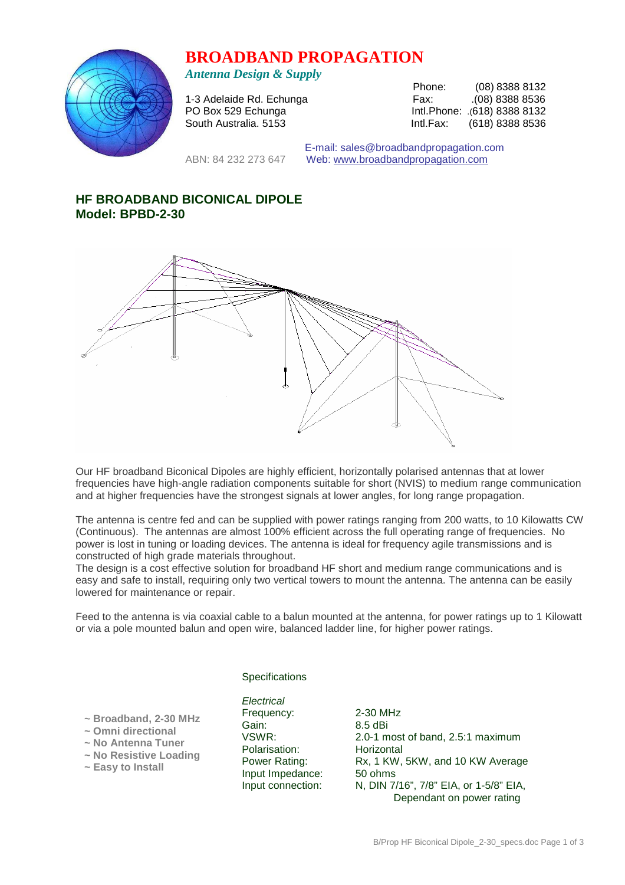# **BROADBAND PROPAGATION**



*Antenna Design & Supply* 

| $\cdots$                 |           |                              |
|--------------------------|-----------|------------------------------|
|                          | Phone:    | $(08)$ 8388 8132             |
| 1-3 Adelaide Rd. Echunga | Fax:      | 08) 8388 8536                |
| PO Box 529 Echunga       |           | Intl.Phone: .(618) 8388 8132 |
| South Australia. 5153    | Intl.Fax: | (618) 8388 8536              |

 E-mail: sales@broadbandpropagation.com ABN: 84 232 273 647 Web: www.broadbandpropagation.com

# **HF BROADBAND BICONICAL DIPOLE Model: BPBD-2-30**



Our HF broadband Biconical Dipoles are highly efficient, horizontally polarised antennas that at lower frequencies have high-angle radiation components suitable for short (NVIS) to medium range communication and at higher frequencies have the strongest signals at lower angles, for long range propagation.

The antenna is centre fed and can be supplied with power ratings ranging from 200 watts, to 10 Kilowatts CW (Continuous). The antennas are almost 100% efficient across the full operating range of frequencies. No power is lost in tuning or loading devices. The antenna is ideal for frequency agile transmissions and is constructed of high grade materials throughout.

The design is a cost effective solution for broadband HF short and medium range communications and is easy and safe to install, requiring only two vertical towers to mount the antenna. The antenna can be easily lowered for maintenance or repair.

Feed to the antenna is via coaxial cable to a balun mounted at the antenna, for power ratings up to 1 Kilowatt or via a pole mounted balun and open wire, balanced ladder line, for higher power ratings.

## **Specifications**

 **~ Broadband, 2-30 MHz** 

- **~ Omni directional**
- **~ No Antenna Tuner**
- **~ No Resistive Loading**
- **~ Easy to Install**

**Electrical** Frequency: 2-30 MHz Gain: 8.5 dBi<br>VSWR: 2.0-1 m Polarisation: Horizontal Input Impedance: 50 ohms

2.0-1 most of band, 2.5:1 maximum Power Rating: Rx, 1 KW, 5KW, and 10 KW Average Input connection: N, DIN 7/16", 7/8" EIA, or 1-5/8" EIA, Dependant on power rating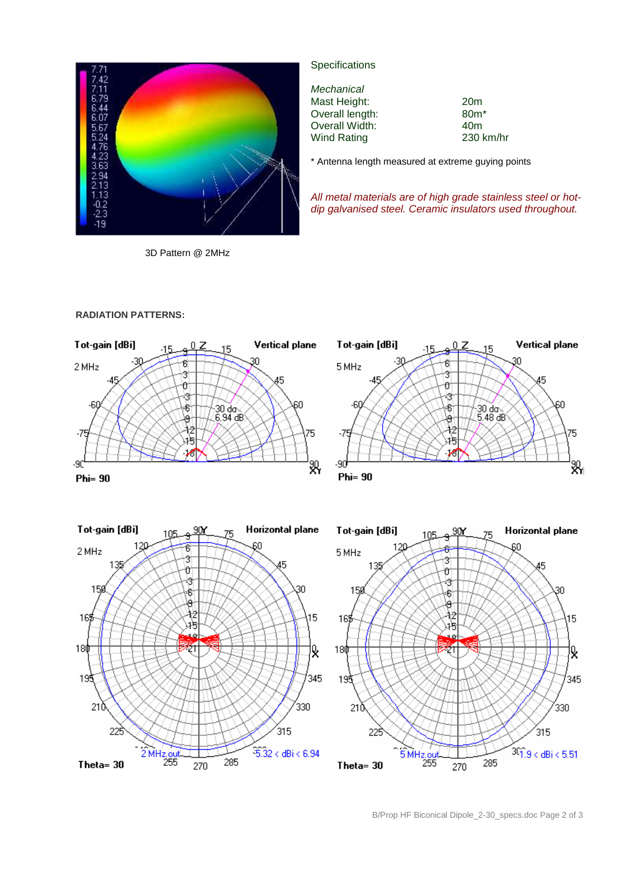

3D Pattern @ 2MHz

# **Specifications**

**Mechanical** Mast Height: 20m<br>
Overall length: 80m<sup>\*</sup> Overall length: 80m<sup>\*</sup><br>
Overall Width: 40m Overall Width: Wind Rating 230 km/hr

45

60

ТĘ

у<br>Ж

\* Antenna length measured at extreme guying points

All metal materials are of high grade stainless steel or hotdip galvanised steel. Ceramic insulators used throughout.

#### **RADIATION PATTERNS:**







B/Prop HF Biconical Dipole\_2-30\_specs.doc Page 2 of 3